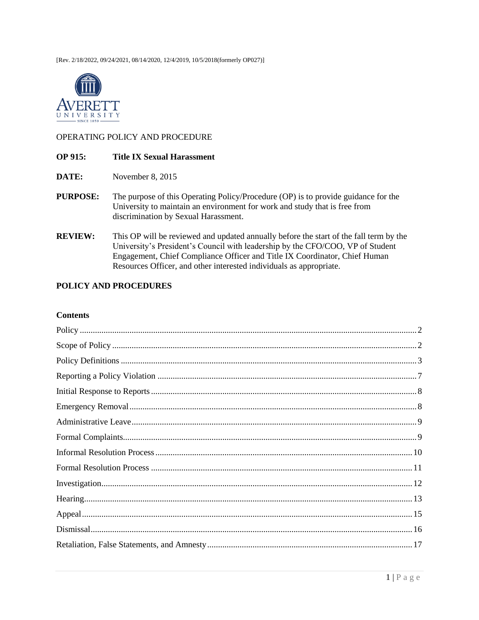[Rev. 2/18/2022, 09/24/2021, 08/14/2020, 12/4/2019, 10/5/2018(formerly OP027)]



#### OPERATING POLICY AND PROCEDURE

#### **OP 915: Title IX Sexual Harassment**

- DATE: November 8, 2015
- **PURPOSE:** The purpose of this Operating Policy/Procedure (OP) is to provide guidance for the University to maintain an environment for work and study that is free from discrimination by Sexual Harassment.
- **REVIEW:** This OP will be reviewed and updated annually before the start of the fall term by the University's President's Council with leadership by the CFO/COO, VP of Student Engagement, Chief Compliance Officer and Title IX Coordinator, Chief Human Resources Officer, and other interested individuals as appropriate.

#### POLICY AND PROCEDURES

#### **Contents**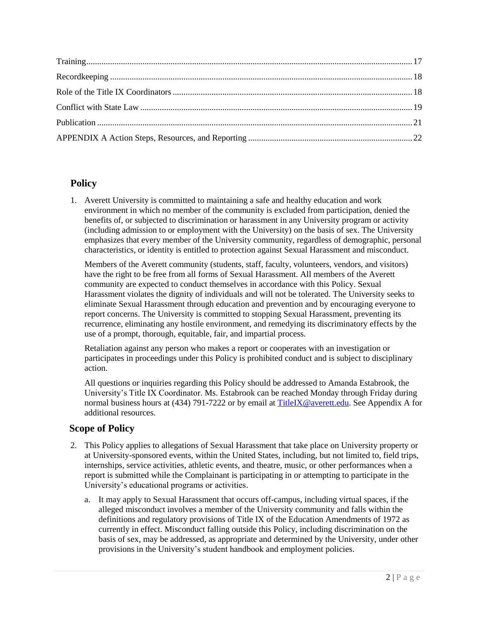# <span id="page-1-0"></span>**Policy**

1. Averett University is committed to maintaining a safe and healthy education and work environment in which no member of the community is excluded from participation, denied the benefits of, or subjected to discrimination or harassment in any University program or activity (including admission to or employment with the University) on the basis of sex. The University emphasizes that every member of the University community, regardless of demographic, personal characteristics, or identity is entitled to protection against Sexual Harassment and misconduct.

Members of the Averett community (students, staff, faculty, volunteers, vendors, and visitors) have the right to be free from all forms of Sexual Harassment. All members of the Averett community are expected to conduct themselves in accordance with this Policy. Sexual Harassment violates the dignity of individuals and will not be tolerated. The University seeks to eliminate Sexual Harassment through education and prevention and by encouraging everyone to report concerns. The University is committed to stopping Sexual Harassment, preventing its recurrence, eliminating any hostile environment, and remedying its discriminatory effects by the use of a prompt, thorough, equitable, fair, and impartial process.

Retaliation against any person who makes a report or cooperates with an investigation or participates in proceedings under this Policy is prohibited conduct and is subject to disciplinary action.

All questions or inquiries regarding this Policy should be addressed to Amanda Estabrook, the University's Title IX Coordinator. Ms. Estabrook can be reached Monday through Friday during normal business hours at (434) 791-7222 or by email at [TitleIX@averett.edu.](mailto:TitleIX@averett.edu) See Appendix A for additional resources.

# <span id="page-1-1"></span> **Scope of Policy**

- 2. This Policy applies to allegations of Sexual Harassment that take place on University property or at University-sponsored events, within the United States, including, but not limited to, field trips, internships, service activities, athletic events, and theatre, music, or other performances when a report is submitted while the Complainant is participating in or attempting to participate in the University's educational programs or activities.
	- a. It may apply to Sexual Harassment that occurs off-campus, including virtual spaces, if the alleged misconduct involves a member of the University community and falls within the definitions and regulatory provisions of Title IX of the Education Amendments of 1972 as currently in effect. Misconduct falling outside this Policy, including discrimination on the basis of sex, may be addressed, as appropriate and determined by the University, under other provisions in the University's student handbook and employment policies.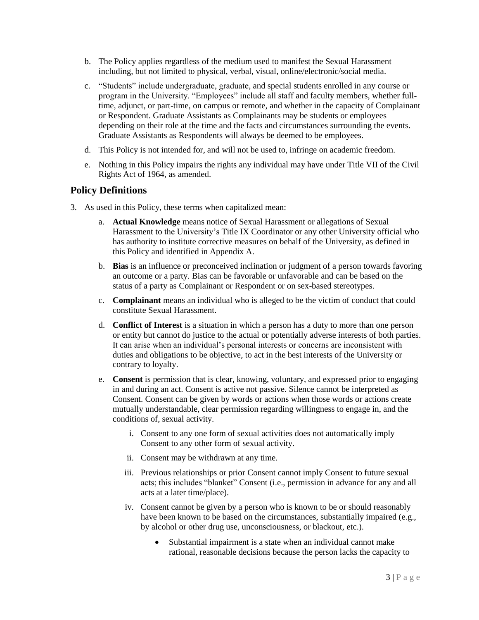- b. The Policy applies regardless of the medium used to manifest the Sexual Harassment including, but not limited to physical, verbal, visual, online/electronic/social media.
- c. "Students" include undergraduate, graduate, and special students enrolled in any course or program in the University. "Employees" include all staff and faculty members, whether fulltime, adjunct, or part-time, on campus or remote, and whether in the capacity of Complainant or Respondent. Graduate Assistants as Complainants may be students or employees depending on their role at the time and the facts and circumstances surrounding the events. Graduate Assistants as Respondents will always be deemed to be employees.
- d. This Policy is not intended for, and will not be used to, infringe on academic freedom.
- e. Nothing in this Policy impairs the rights any individual may have under Title VII of the Civil Rights Act of 1964, as amended.

## <span id="page-2-0"></span>**Policy Definitions**

- 3. As used in this Policy, these terms when capitalized mean:
	- a. **Actual Knowledge** means notice of Sexual Harassment or allegations of Sexual Harassment to the University's Title IX Coordinator or any other University official who has authority to institute corrective measures on behalf of the University, as defined in this Policy and identified in Appendix A.
	- b. **Bias** is an influence or preconceived inclination or judgment of a person towards favoring an outcome or a party. Bias can be favorable or unfavorable and can be based on the status of a party as Complainant or Respondent or on sex-based stereotypes.
	- c. **Complainant** means an individual who is alleged to be the victim of conduct that could constitute Sexual Harassment.
	- d. **Conflict of Interest** is a situation in which a person has a duty to more than one person or entity but cannot do justice to the actual or potentially adverse interests of both parties. It can arise when an individual's personal interests or concerns are inconsistent with duties and obligations to be objective, to act in the best interests of the University or contrary to loyalty.
	- e. **Consent** is permission that is clear, knowing, voluntary, and expressed prior to engaging in and during an act. Consent is active not passive. Silence cannot be interpreted as Consent. Consent can be given by words or actions when those words or actions create mutually understandable, clear permission regarding willingness to engage in, and the conditions of, sexual activity.
		- i. Consent to any one form of sexual activities does not automatically imply Consent to any other form of sexual activity.
		- ii. Consent may be withdrawn at any time.
		- iii. Previous relationships or prior Consent cannot imply Consent to future sexual acts; this includes "blanket" Consent (i.e., permission in advance for any and all acts at a later time/place).
		- iv. Consent cannot be given by a person who is known to be or should reasonably have been known to be based on the circumstances, substantially impaired (e.g., by alcohol or other drug use, unconsciousness, or blackout, etc.).
			- Substantial impairment is a state when an individual cannot make rational, reasonable decisions because the person lacks the capacity to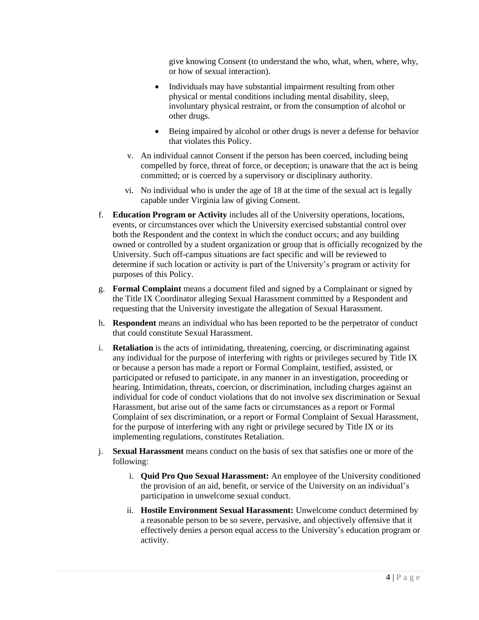give knowing Consent (to understand the who, what, when, where, why, or how of sexual interaction).

- Individuals may have substantial impairment resulting from other physical or mental conditions including mental disability, sleep, involuntary physical restraint, or from the consumption of alcohol or other drugs.
- Being impaired by alcohol or other drugs is never a defense for behavior that violates this Policy.
- v. An individual cannot Consent if the person has been coerced, including being compelled by force, threat of force, or deception; is unaware that the act is being committed; or is coerced by a supervisory or disciplinary authority.
- vi. No individual who is under the age of 18 at the time of the sexual act is legally capable under Virginia law of giving Consent.
- f. **Education Program or Activity** includes all of the University operations, locations, events, or circumstances over which the University exercised substantial control over both the Respondent and the context in which the conduct occurs; and any building owned or controlled by a student organization or group that is officially recognized by the University. Such off-campus situations are fact specific and will be reviewed to determine if such location or activity is part of the University's program or activity for purposes of this Policy.
- g. **Formal Complaint** means a document filed and signed by a Complainant or signed by the Title IX Coordinator alleging Sexual Harassment committed by a Respondent and requesting that the University investigate the allegation of Sexual Harassment.
- h. **Respondent** means an individual who has been reported to be the perpetrator of conduct that could constitute Sexual Harassment.
- i. **Retaliation** is the acts of intimidating, threatening, coercing, or discriminating against any individual for the purpose of interfering with rights or privileges secured by Title IX or because a person has made a report or Formal Complaint, testified, assisted, or participated or refused to participate, in any manner in an investigation, proceeding or hearing. Intimidation, threats, coercion, or discrimination, including charges against an individual for code of conduct violations that do not involve sex discrimination or Sexual Harassment, but arise out of the same facts or circumstances as a report or Formal Complaint of sex discrimination, or a report or Formal Complaint of Sexual Harassment, for the purpose of interfering with any right or privilege secured by Title IX or its implementing regulations, constitutes Retaliation.
- j. **Sexual Harassment** means conduct on the basis of sex that satisfies one or more of the following:
	- i. **Quid Pro Quo Sexual Harassment:** An employee of the University conditioned the provision of an aid, benefit, or service of the University on an individual's participation in unwelcome sexual conduct.
	- ii. **Hostile Environment Sexual Harassment:** Unwelcome conduct determined by a reasonable person to be so severe, pervasive, and objectively offensive that it effectively denies a person equal access to the University's education program or activity.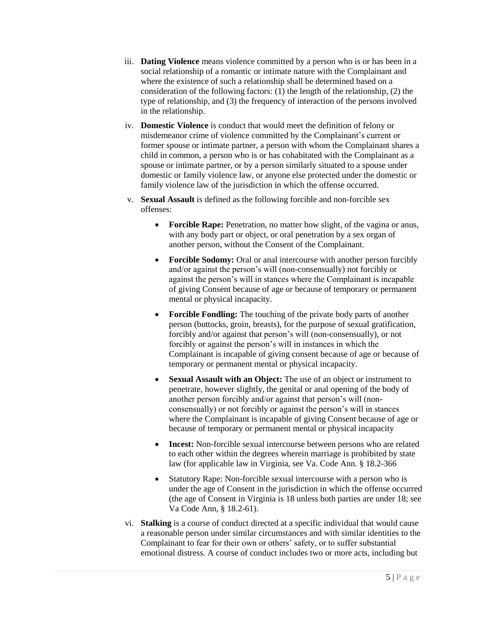- iii. **Dating Violence** means violence committed by a person who is or has been in a social relationship of a romantic or intimate nature with the Complainant and where the existence of such a relationship shall be determined based on a consideration of the following factors: (1) the length of the relationship, (2) the type of relationship, and (3) the frequency of interaction of the persons involved in the relationship.
- iv. **Domestic Violence** is conduct that would meet the definition of felony or misdemeanor crime of violence committed by the Complainant's current or former spouse or intimate partner, a person with whom the Complainant shares a child in common, a person who is or has cohabitated with the Complainant as a spouse or intimate partner, or by a person similarly situated to a spouse under domestic or family violence law, or anyone else protected under the domestic or family violence law of the jurisdiction in which the offense occurred.
- v. **Sexual Assault** is defined as the following forcible and non-forcible sex offenses:
	- Forcible Rape: Penetration, no matter how slight, of the vagina or anus, with any body part or object, or oral penetration by a sex organ of another person, without the Consent of the Complainant.
	- **Forcible Sodomy:** Oral or anal intercourse with another person forcibly and/or against the person's will (non-consensually) not forcibly or against the person's will in stances where the Complainant is incapable of giving Consent because of age or because of temporary or permanent mental or physical incapacity.
	- **Forcible Fondling:** The touching of the private body parts of another person (buttocks, groin, breasts), for the purpose of sexual gratification, forcibly and/or against that person's will (non-consensually), or not forcibly or against the person's will in instances in which the Complainant is incapable of giving consent because of age or because of temporary or permanent mental or physical incapacity.
	- **Sexual Assault with an Object:** The use of an object or instrument to penetrate, however slightly, the genital or anal opening of the body of another person forcibly and/or against that person's will (nonconsensually) or not forcibly or against the person's will in stances where the Complainant is incapable of giving Consent because of age or because of temporary or permanent mental or physical incapacity
	- **Incest:** Non-forcible sexual intercourse between persons who are related to each other within the degrees wherein marriage is prohibited by state law (for applicable law in Virginia, see Va. Code Ann. § 18.2-366
	- Statutory Rape: Non-forcible sexual intercourse with a person who is under the age of Consent in the jurisdiction in which the offense occurred (the age of Consent in Virginia is 18 unless both parties are under 18; see Va Code Ann, § 18.2-61).
- vi. **Stalking** is a course of conduct directed at a specific individual that would cause a reasonable person under similar circumstances and with similar identities to the Complainant to fear for their own or others' safety, or to suffer substantial emotional distress. A course of conduct includes two or more acts, including but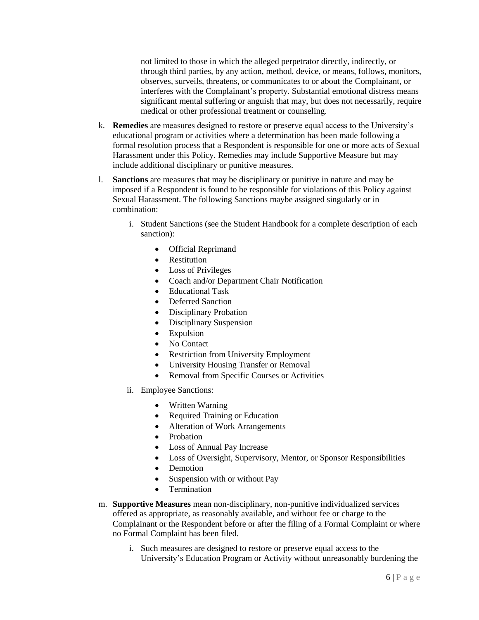not limited to those in which the alleged perpetrator directly, indirectly, or through third parties, by any action, method, device, or means, follows, monitors, observes, surveils, threatens, or communicates to or about the Complainant, or interferes with the Complainant's property. Substantial emotional distress means significant mental suffering or anguish that may, but does not necessarily, require medical or other professional treatment or counseling.

- k. **Remedies** are measures designed to restore or preserve equal access to the University's educational program or activities where a determination has been made following a formal resolution process that a Respondent is responsible for one or more acts of Sexual Harassment under this Policy. Remedies may include Supportive Measure but may include additional disciplinary or punitive measures.
- l. **Sanctions** are measures that may be disciplinary or punitive in nature and may be imposed if a Respondent is found to be responsible for violations of this Policy against Sexual Harassment. The following Sanctions maybe assigned singularly or in combination:
	- i. Student Sanctions (see the Student Handbook for a complete description of each sanction):
		- Official Reprimand
		- Restitution
		- Loss of Privileges
		- Coach and/or Department Chair Notification
		- Educational Task
		- Deferred Sanction
		- Disciplinary Probation
		- Disciplinary Suspension
		- Expulsion
		- No Contact
		- Restriction from University Employment
		- University Housing Transfer or Removal
		- Removal from Specific Courses or Activities
	- ii. Employee Sanctions:
		- Written Warning
		- Required Training or Education
		- Alteration of Work Arrangements
		- Probation
		- Loss of Annual Pay Increase
		- Loss of Oversight, Supervisory, Mentor, or Sponsor Responsibilities
		- Demotion
		- Suspension with or without Pay
		- Termination
- m. **Supportive Measures** mean non-disciplinary, non-punitive individualized services offered as appropriate, as reasonably available, and without fee or charge to the Complainant or the Respondent before or after the filing of a Formal Complaint or where no Formal Complaint has been filed.
	- i. Such measures are designed to restore or preserve equal access to the University's Education Program or Activity without unreasonably burdening the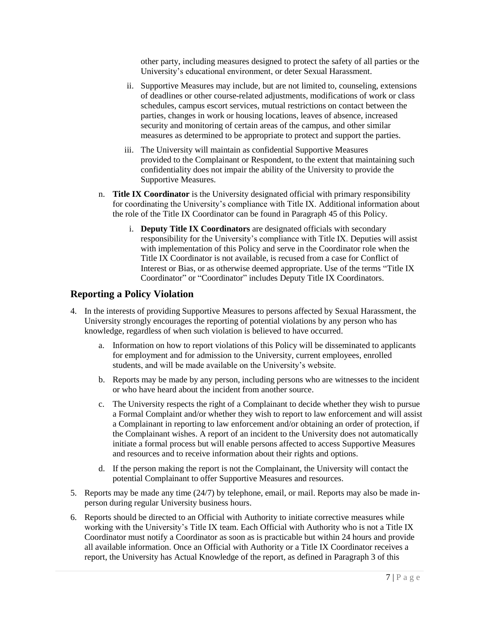other party, including measures designed to protect the safety of all parties or the University's educational environment, or deter Sexual Harassment.

- ii. Supportive Measures may include, but are not limited to, counseling, extensions of deadlines or other course-related adjustments, modifications of work or class schedules, campus escort services, mutual restrictions on contact between the parties, changes in work or housing locations, leaves of absence, increased security and monitoring of certain areas of the campus, and other similar measures as determined to be appropriate to protect and support the parties.
- iii. The University will maintain as confidential Supportive Measures provided to the Complainant or Respondent, to the extent that maintaining such confidentiality does not impair the ability of the University to provide the Supportive Measures.
- n. **Title IX Coordinator** is the University designated official with primary responsibility for coordinating the University's compliance with Title IX. Additional information about the role of the Title IX Coordinator can be found in Paragraph 45 of this Policy.
	- i. **Deputy Title IX Coordinators** are designated officials with secondary responsibility for the University's compliance with Title IX. Deputies will assist with implementation of this Policy and serve in the Coordinator role when the Title IX Coordinator is not available, is recused from a case for Conflict of Interest or Bias, or as otherwise deemed appropriate. Use of the terms "Title IX Coordinator" or "Coordinator" includes Deputy Title IX Coordinators.

# <span id="page-6-0"></span>**Reporting a Policy Violation**

- 4. In the interests of providing Supportive Measures to persons affected by Sexual Harassment, the University strongly encourages the reporting of potential violations by any person who has knowledge, regardless of when such violation is believed to have occurred.
	- a. Information on how to report violations of this Policy will be disseminated to applicants for employment and for admission to the University, current employees, enrolled students, and will be made available on the University's website.
	- b. Reports may be made by any person, including persons who are witnesses to the incident or who have heard about the incident from another source.
	- c. The University respects the right of a Complainant to decide whether they wish to pursue a Formal Complaint and/or whether they wish to report to law enforcement and will assist a Complainant in reporting to law enforcement and/or obtaining an order of protection, if the Complainant wishes. A report of an incident to the University does not automatically initiate a formal process but will enable persons affected to access Supportive Measures and resources and to receive information about their rights and options.
	- d. If the person making the report is not the Complainant, the University will contact the potential Complainant to offer Supportive Measures and resources.
- 5. Reports may be made any time (24/7) by telephone, email, or mail. Reports may also be made inperson during regular University business hours.
- 6. Reports should be directed to an Official with Authority to initiate corrective measures while working with the University's Title IX team. Each Official with Authority who is not a Title IX Coordinator must notify a Coordinator as soon as is practicable but within 24 hours and provide all available information. Once an Official with Authority or a Title IX Coordinator receives a report, the University has Actual Knowledge of the report, as defined in Paragraph 3 of this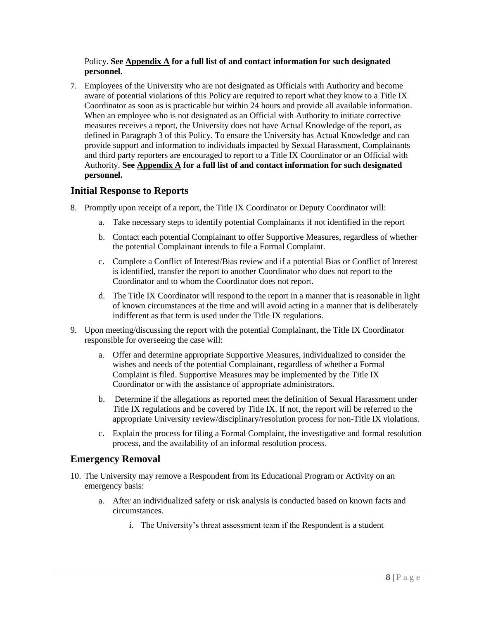#### Policy. **See Appendix A for a full list of and contact information for such designated personnel.**

7. Employees of the University who are not designated as Officials with Authority and become aware of potential violations of this Policy are required to report what they know to a Title IX Coordinator as soon as is practicable but within 24 hours and provide all available information. When an employee who is not designated as an Official with Authority to initiate corrective measures receives a report, the University does not have Actual Knowledge of the report, as defined in Paragraph 3 of this Policy. To ensure the University has Actual Knowledge and can provide support and information to individuals impacted by Sexual Harassment, Complainants and third party reporters are encouraged to report to a Title IX Coordinator or an Official with Authority. **See Appendix A for a full list of and contact information for such designated personnel.**

## <span id="page-7-0"></span> **Initial Response to Reports**

- 8. Promptly upon receipt of a report, the Title IX Coordinator or Deputy Coordinator will:
	- a. Take necessary steps to identify potential Complainants if not identified in the report
	- b. Contact each potential Complainant to offer Supportive Measures, regardless of whether the potential Complainant intends to file a Formal Complaint.
	- c. Complete a Conflict of Interest/Bias review and if a potential Bias or Conflict of Interest is identified, transfer the report to another Coordinator who does not report to the Coordinator and to whom the Coordinator does not report.
	- d. The Title IX Coordinator will respond to the report in a manner that is reasonable in light of known circumstances at the time and will avoid acting in a manner that is deliberately indifferent as that term is used under the Title IX regulations.
- 9. Upon meeting/discussing the report with the potential Complainant, the Title IX Coordinator responsible for overseeing the case will:
	- a. Offer and determine appropriate Supportive Measures, individualized to consider the wishes and needs of the potential Complainant, regardless of whether a Formal Complaint is filed. Supportive Measures may be implemented by the Title IX Coordinator or with the assistance of appropriate administrators.
	- b. Determine if the allegations as reported meet the definition of Sexual Harassment under Title IX regulations and be covered by Title IX. If not, the report will be referred to the appropriate University review/disciplinary/resolution process for non-Title IX violations.
	- c. Explain the process for filing a Formal Complaint, the investigative and formal resolution process, and the availability of an informal resolution process.

## <span id="page-7-1"></span>**Emergency Removal**

- 10. The University may remove a Respondent from its Educational Program or Activity on an emergency basis:
	- a. After an individualized safety or risk analysis is conducted based on known facts and circumstances.
		- i. The University's threat assessment team if the Respondent is a student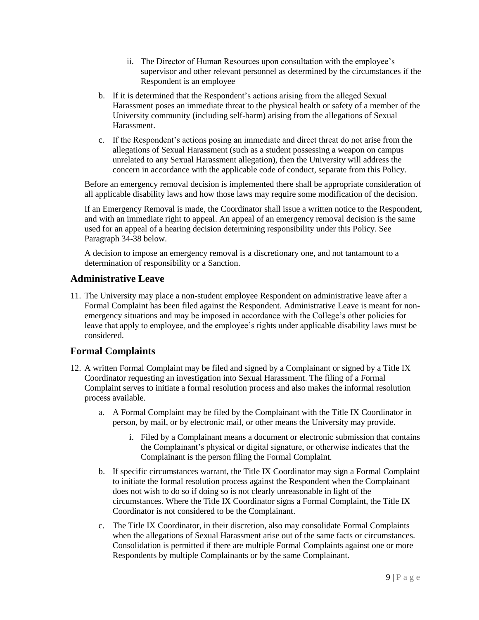- ii. The Director of Human Resources upon consultation with the employee's supervisor and other relevant personnel as determined by the circumstances if the Respondent is an employee
- b. If it is determined that the Respondent's actions arising from the alleged Sexual Harassment poses an immediate threat to the physical health or safety of a member of the University community (including self-harm) arising from the allegations of Sexual Harassment.
- c. If the Respondent's actions posing an immediate and direct threat do not arise from the allegations of Sexual Harassment (such as a student possessing a weapon on campus unrelated to any Sexual Harassment allegation), then the University will address the concern in accordance with the applicable code of conduct, separate from this Policy.

Before an emergency removal decision is implemented there shall be appropriate consideration of all applicable disability laws and how those laws may require some modification of the decision.

If an Emergency Removal is made, the Coordinator shall issue a written notice to the Respondent, and with an immediate right to appeal. An appeal of an emergency removal decision is the same used for an appeal of a hearing decision determining responsibility under this Policy. See Paragraph 34-38 below.

A decision to impose an emergency removal is a discretionary one, and not tantamount to a determination of responsibility or a Sanction.

# <span id="page-8-0"></span>**Administrative Leave**

11. The University may place a non-student employee Respondent on administrative leave after a Formal Complaint has been filed against the Respondent. Administrative Leave is meant for nonemergency situations and may be imposed in accordance with the College's other policies for leave that apply to employee, and the employee's rights under applicable disability laws must be considered.

## <span id="page-8-1"></span>**Formal Complaints**

- 12. A written Formal Complaint may be filed and signed by a Complainant or signed by a Title IX Coordinator requesting an investigation into Sexual Harassment. The filing of a Formal Complaint serves to initiate a formal resolution process and also makes the informal resolution process available.
	- a. A Formal Complaint may be filed by the Complainant with the Title IX Coordinator in person, by mail, or by electronic mail, or other means the University may provide.
		- i. Filed by a Complainant means a document or electronic submission that contains the Complainant's physical or digital signature, or otherwise indicates that the Complainant is the person filing the Formal Complaint.
	- b. If specific circumstances warrant, the Title IX Coordinator may sign a Formal Complaint to initiate the formal resolution process against the Respondent when the Complainant does not wish to do so if doing so is not clearly unreasonable in light of the circumstances. Where the Title IX Coordinator signs a Formal Complaint, the Title IX Coordinator is not considered to be the Complainant.
	- c. The Title IX Coordinator, in their discretion, also may consolidate Formal Complaints when the allegations of Sexual Harassment arise out of the same facts or circumstances. Consolidation is permitted if there are multiple Formal Complaints against one or more Respondents by multiple Complainants or by the same Complainant.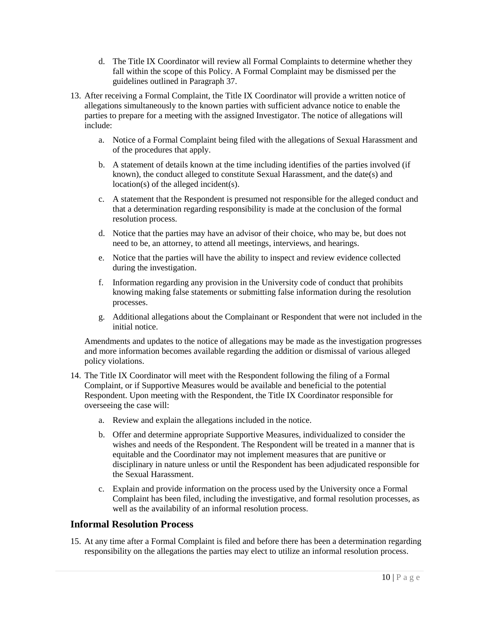- d. The Title IX Coordinator will review all Formal Complaints to determine whether they fall within the scope of this Policy. A Formal Complaint may be dismissed per the guidelines outlined in Paragraph 37.
- 13. After receiving a Formal Complaint, the Title IX Coordinator will provide a written notice of allegations simultaneously to the known parties with sufficient advance notice to enable the parties to prepare for a meeting with the assigned Investigator. The notice of allegations will include:
	- a. Notice of a Formal Complaint being filed with the allegations of Sexual Harassment and of the procedures that apply.
	- b. A statement of details known at the time including identifies of the parties involved (if known), the conduct alleged to constitute Sexual Harassment, and the date(s) and location(s) of the alleged incident(s).
	- c. A statement that the Respondent is presumed not responsible for the alleged conduct and that a determination regarding responsibility is made at the conclusion of the formal resolution process.
	- d. Notice that the parties may have an advisor of their choice, who may be, but does not need to be, an attorney, to attend all meetings, interviews, and hearings.
	- e. Notice that the parties will have the ability to inspect and review evidence collected during the investigation.
	- f. Information regarding any provision in the University code of conduct that prohibits knowing making false statements or submitting false information during the resolution processes.
	- g. Additional allegations about the Complainant or Respondent that were not included in the initial notice.

Amendments and updates to the notice of allegations may be made as the investigation progresses and more information becomes available regarding the addition or dismissal of various alleged policy violations.

- 14. The Title IX Coordinator will meet with the Respondent following the filing of a Formal Complaint, or if Supportive Measures would be available and beneficial to the potential Respondent. Upon meeting with the Respondent, the Title IX Coordinator responsible for overseeing the case will:
	- a. Review and explain the allegations included in the notice.
	- b. Offer and determine appropriate Supportive Measures, individualized to consider the wishes and needs of the Respondent. The Respondent will be treated in a manner that is equitable and the Coordinator may not implement measures that are punitive or disciplinary in nature unless or until the Respondent has been adjudicated responsible for the Sexual Harassment.
	- c. Explain and provide information on the process used by the University once a Formal Complaint has been filed, including the investigative, and formal resolution processes, as well as the availability of an informal resolution process.

## <span id="page-9-0"></span>**Informal Resolution Process**

15. At any time after a Formal Complaint is filed and before there has been a determination regarding responsibility on the allegations the parties may elect to utilize an informal resolution process.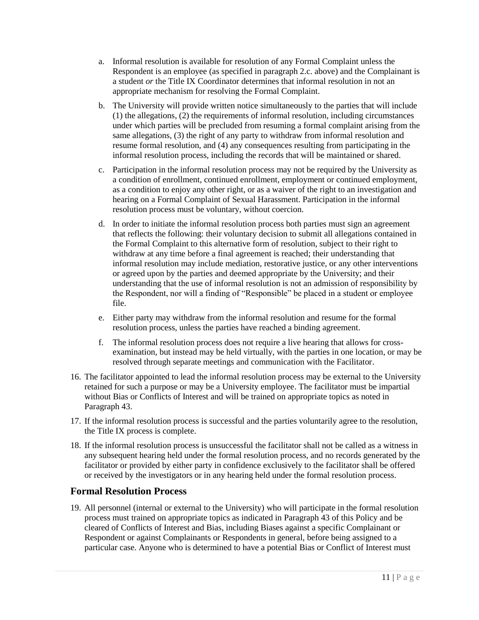- a. Informal resolution is available for resolution of any Formal Complaint unless the Respondent is an employee (as specified in paragraph 2.c. above) and the Complainant is a student *or* the Title IX Coordinator determines that informal resolution in not an appropriate mechanism for resolving the Formal Complaint.
- b. The University will provide written notice simultaneously to the parties that will include (1) the allegations, (2) the requirements of informal resolution, including circumstances under which parties will be precluded from resuming a formal complaint arising from the same allegations, (3) the right of any party to withdraw from informal resolution and resume formal resolution, and (4) any consequences resulting from participating in the informal resolution process, including the records that will be maintained or shared.
- c. Participation in the informal resolution process may not be required by the University as a condition of enrollment, continued enrollment, employment or continued employment, as a condition to enjoy any other right, or as a waiver of the right to an investigation and hearing on a Formal Complaint of Sexual Harassment. Participation in the informal resolution process must be voluntary, without coercion.
- d. In order to initiate the informal resolution process both parties must sign an agreement that reflects the following: their voluntary decision to submit all allegations contained in the Formal Complaint to this alternative form of resolution, subject to their right to withdraw at any time before a final agreement is reached; their understanding that informal resolution may include mediation, restorative justice, or any other interventions or agreed upon by the parties and deemed appropriate by the University; and their understanding that the use of informal resolution is not an admission of responsibility by the Respondent, nor will a finding of "Responsible" be placed in a student or employee file.
- e. Either party may withdraw from the informal resolution and resume for the formal resolution process, unless the parties have reached a binding agreement.
- f. The informal resolution process does not require a live hearing that allows for crossexamination, but instead may be held virtually, with the parties in one location, or may be resolved through separate meetings and communication with the Facilitator.
- 16. The facilitator appointed to lead the informal resolution process may be external to the University retained for such a purpose or may be a University employee. The facilitator must be impartial without Bias or Conflicts of Interest and will be trained on appropriate topics as noted in Paragraph 43.
- 17. If the informal resolution process is successful and the parties voluntarily agree to the resolution, the Title IX process is complete.
- 18. If the informal resolution process is unsuccessful the facilitator shall not be called as a witness in any subsequent hearing held under the formal resolution process, and no records generated by the facilitator or provided by either party in confidence exclusively to the facilitator shall be offered or received by the investigators or in any hearing held under the formal resolution process.

# <span id="page-10-0"></span>**Formal Resolution Process**

19. All personnel (internal or external to the University) who will participate in the formal resolution process must trained on appropriate topics as indicated in Paragraph 43 of this Policy and be cleared of Conflicts of Interest and Bias, including Biases against a specific Complainant or Respondent or against Complainants or Respondents in general, before being assigned to a particular case. Anyone who is determined to have a potential Bias or Conflict of Interest must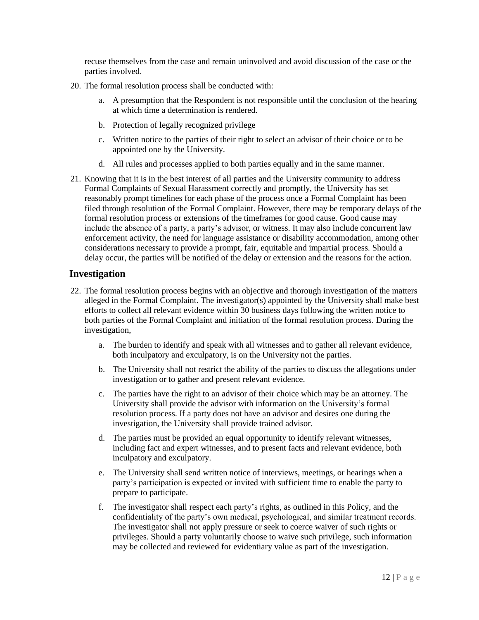recuse themselves from the case and remain uninvolved and avoid discussion of the case or the parties involved.

- 20. The formal resolution process shall be conducted with:
	- a. A presumption that the Respondent is not responsible until the conclusion of the hearing at which time a determination is rendered.
	- b. Protection of legally recognized privilege
	- c. Written notice to the parties of their right to select an advisor of their choice or to be appointed one by the University.
	- d. All rules and processes applied to both parties equally and in the same manner.
- 21. Knowing that it is in the best interest of all parties and the University community to address Formal Complaints of Sexual Harassment correctly and promptly, the University has set reasonably prompt timelines for each phase of the process once a Formal Complaint has been filed through resolution of the Formal Complaint. However, there may be temporary delays of the formal resolution process or extensions of the timeframes for good cause. Good cause may include the absence of a party, a party's advisor, or witness. It may also include concurrent law enforcement activity, the need for language assistance or disability accommodation, among other considerations necessary to provide a prompt, fair, equitable and impartial process. Should a delay occur, the parties will be notified of the delay or extension and the reasons for the action.

#### <span id="page-11-0"></span> **Investigation**

- 22. The formal resolution process begins with an objective and thorough investigation of the matters alleged in the Formal Complaint. The investigator(s) appointed by the University shall make best efforts to collect all relevant evidence within 30 business days following the written notice to both parties of the Formal Complaint and initiation of the formal resolution process. During the investigation,
	- a. The burden to identify and speak with all witnesses and to gather all relevant evidence, both inculpatory and exculpatory, is on the University not the parties.
	- b. The University shall not restrict the ability of the parties to discuss the allegations under investigation or to gather and present relevant evidence.
	- c. The parties have the right to an advisor of their choice which may be an attorney. The University shall provide the advisor with information on the University's formal resolution process. If a party does not have an advisor and desires one during the investigation, the University shall provide trained advisor.
	- d. The parties must be provided an equal opportunity to identify relevant witnesses, including fact and expert witnesses, and to present facts and relevant evidence, both inculpatory and exculpatory.
	- e. The University shall send written notice of interviews, meetings, or hearings when a party's participation is expected or invited with sufficient time to enable the party to prepare to participate.
	- f. The investigator shall respect each party's rights, as outlined in this Policy, and the confidentiality of the party's own medical, psychological, and similar treatment records. The investigator shall not apply pressure or seek to coerce waiver of such rights or privileges. Should a party voluntarily choose to waive such privilege, such information may be collected and reviewed for evidentiary value as part of the investigation.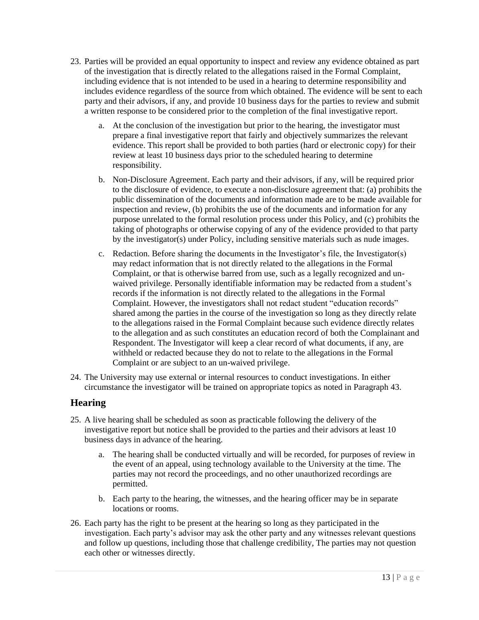- 23. Parties will be provided an equal opportunity to inspect and review any evidence obtained as part of the investigation that is directly related to the allegations raised in the Formal Complaint, including evidence that is not intended to be used in a hearing to determine responsibility and includes evidence regardless of the source from which obtained. The evidence will be sent to each party and their advisors, if any, and provide 10 business days for the parties to review and submit a written response to be considered prior to the completion of the final investigative report.
	- a. At the conclusion of the investigation but prior to the hearing, the investigator must prepare a final investigative report that fairly and objectively summarizes the relevant evidence. This report shall be provided to both parties (hard or electronic copy) for their review at least 10 business days prior to the scheduled hearing to determine responsibility.
	- b. Non-Disclosure Agreement. Each party and their advisors, if any, will be required prior to the disclosure of evidence, to execute a non-disclosure agreement that: (a) prohibits the public dissemination of the documents and information made are to be made available for inspection and review, (b) prohibits the use of the documents and information for any purpose unrelated to the formal resolution process under this Policy, and (c) prohibits the taking of photographs or otherwise copying of any of the evidence provided to that party by the investigator(s) under Policy, including sensitive materials such as nude images.
	- c. Redaction. Before sharing the documents in the Investigator's file, the Investigator(s) may redact information that is not directly related to the allegations in the Formal Complaint, or that is otherwise barred from use, such as a legally recognized and unwaived privilege. Personally identifiable information may be redacted from a student's records if the information is not directly related to the allegations in the Formal Complaint. However, the investigators shall not redact student "education records" shared among the parties in the course of the investigation so long as they directly relate to the allegations raised in the Formal Complaint because such evidence directly relates to the allegation and as such constitutes an education record of both the Complainant and Respondent. The Investigator will keep a clear record of what documents, if any, are withheld or redacted because they do not to relate to the allegations in the Formal Complaint or are subject to an un-waived privilege.
- 24. The University may use external or internal resources to conduct investigations. In either circumstance the investigator will be trained on appropriate topics as noted in Paragraph 43.

# <span id="page-12-0"></span>**Hearing**

- 25. A live hearing shall be scheduled as soon as practicable following the delivery of the investigative report but notice shall be provided to the parties and their advisors at least 10 business days in advance of the hearing.
	- a. The hearing shall be conducted virtually and will be recorded, for purposes of review in the event of an appeal, using technology available to the University at the time. The parties may not record the proceedings, and no other unauthorized recordings are permitted.
	- b. Each party to the hearing, the witnesses, and the hearing officer may be in separate locations or rooms.
- 26. Each party has the right to be present at the hearing so long as they participated in the investigation. Each party's advisor may ask the other party and any witnesses relevant questions and follow up questions, including those that challenge credibility, The parties may not question each other or witnesses directly.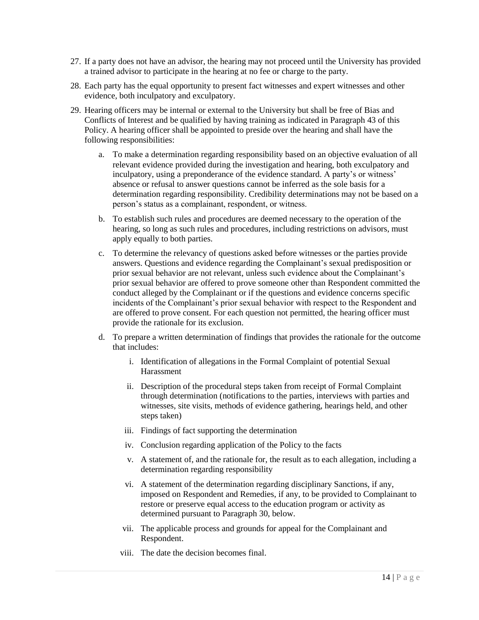- 27. If a party does not have an advisor, the hearing may not proceed until the University has provided a trained advisor to participate in the hearing at no fee or charge to the party.
- 28. Each party has the equal opportunity to present fact witnesses and expert witnesses and other evidence, both inculpatory and exculpatory.
- 29. Hearing officers may be internal or external to the University but shall be free of Bias and Conflicts of Interest and be qualified by having training as indicated in Paragraph 43 of this Policy. A hearing officer shall be appointed to preside over the hearing and shall have the following responsibilities:
	- a. To make a determination regarding responsibility based on an objective evaluation of all relevant evidence provided during the investigation and hearing, both exculpatory and inculpatory, using a preponderance of the evidence standard. A party's or witness' absence or refusal to answer questions cannot be inferred as the sole basis for a determination regarding responsibility. Credibility determinations may not be based on a person's status as a complainant, respondent, or witness.
	- b. To establish such rules and procedures are deemed necessary to the operation of the hearing, so long as such rules and procedures, including restrictions on advisors, must apply equally to both parties.
	- c. To determine the relevancy of questions asked before witnesses or the parties provide answers. Questions and evidence regarding the Complainant's sexual predisposition or prior sexual behavior are not relevant, unless such evidence about the Complainant's prior sexual behavior are offered to prove someone other than Respondent committed the conduct alleged by the Complainant or if the questions and evidence concerns specific incidents of the Complainant's prior sexual behavior with respect to the Respondent and are offered to prove consent. For each question not permitted, the hearing officer must provide the rationale for its exclusion.
	- d. To prepare a written determination of findings that provides the rationale for the outcome that includes:
		- i. Identification of allegations in the Formal Complaint of potential Sexual Harassment
		- ii. Description of the procedural steps taken from receipt of Formal Complaint through determination (notifications to the parties, interviews with parties and witnesses, site visits, methods of evidence gathering, hearings held, and other steps taken)
		- iii. Findings of fact supporting the determination
		- iv. Conclusion regarding application of the Policy to the facts
		- v. A statement of, and the rationale for, the result as to each allegation, including a determination regarding responsibility
		- vi. A statement of the determination regarding disciplinary Sanctions, if any, imposed on Respondent and Remedies, if any, to be provided to Complainant to restore or preserve equal access to the education program or activity as determined pursuant to Paragraph 30, below.
		- vii. The applicable process and grounds for appeal for the Complainant and Respondent.
		- viii. The date the decision becomes final.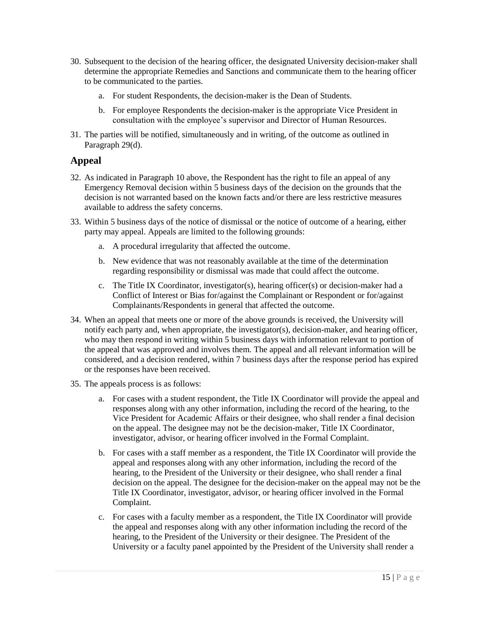- 30. Subsequent to the decision of the hearing officer, the designated University decision-maker shall determine the appropriate Remedies and Sanctions and communicate them to the hearing officer to be communicated to the parties.
	- a. For student Respondents, the decision-maker is the Dean of Students.
	- b. For employee Respondents the decision-maker is the appropriate Vice President in consultation with the employee's supervisor and Director of Human Resources.
- 31. The parties will be notified, simultaneously and in writing, of the outcome as outlined in Paragraph 29(d).

# <span id="page-14-0"></span>**Appeal**

- 32. As indicated in Paragraph 10 above, the Respondent has the right to file an appeal of any Emergency Removal decision within 5 business days of the decision on the grounds that the decision is not warranted based on the known facts and/or there are less restrictive measures available to address the safety concerns.
- 33. Within 5 business days of the notice of dismissal or the notice of outcome of a hearing, either party may appeal. Appeals are limited to the following grounds:
	- a. A procedural irregularity that affected the outcome.
	- b. New evidence that was not reasonably available at the time of the determination regarding responsibility or dismissal was made that could affect the outcome.
	- c. The Title IX Coordinator, investigator(s), hearing officer(s) or decision-maker had a Conflict of Interest or Bias for/against the Complainant or Respondent or for/against Complainants/Respondents in general that affected the outcome.
- 34. When an appeal that meets one or more of the above grounds is received, the University will notify each party and, when appropriate, the investigator(s), decision-maker, and hearing officer, who may then respond in writing within 5 business days with information relevant to portion of the appeal that was approved and involves them. The appeal and all relevant information will be considered, and a decision rendered, within 7 business days after the response period has expired or the responses have been received.
- 35. The appeals process is as follows:
	- a. For cases with a student respondent, the Title IX Coordinator will provide the appeal and responses along with any other information, including the record of the hearing, to the Vice President for Academic Affairs or their designee, who shall render a final decision on the appeal. The designee may not be the decision-maker, Title IX Coordinator, investigator, advisor, or hearing officer involved in the Formal Complaint.
	- b. For cases with a staff member as a respondent, the Title IX Coordinator will provide the appeal and responses along with any other information, including the record of the hearing, to the President of the University or their designee, who shall render a final decision on the appeal. The designee for the decision-maker on the appeal may not be the Title IX Coordinator, investigator, advisor, or hearing officer involved in the Formal Complaint.
	- c. For cases with a faculty member as a respondent, the Title IX Coordinator will provide the appeal and responses along with any other information including the record of the hearing, to the President of the University or their designee. The President of the University or a faculty panel appointed by the President of the University shall render a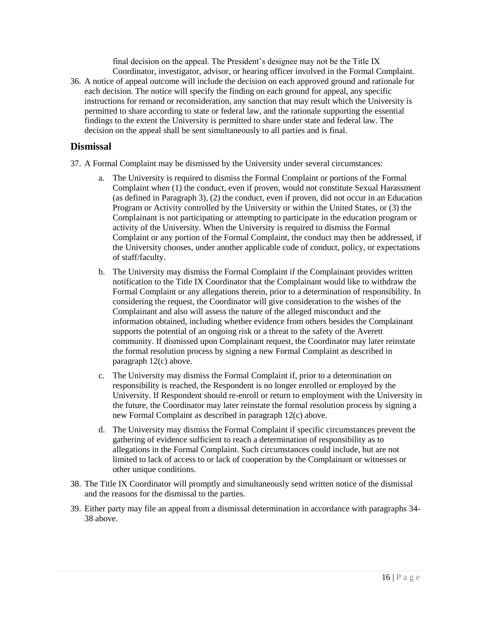final decision on the appeal. The President's designee may not be the Title IX Coordinator, investigator, advisor, or hearing officer involved in the Formal Complaint.

36. A notice of appeal outcome will include the decision on each approved ground and rationale for each decision. The notice will specify the finding on each ground for appeal, any specific instructions for remand or reconsideration, any sanction that may result which the University is permitted to share according to state or federal law, and the rationale supporting the essential findings to the extent the University is permitted to share under state and federal law. The decision on the appeal shall be sent simultaneously to all parties and is final.

## <span id="page-15-0"></span>**Dismissal**

- 37. A Formal Complaint may be dismissed by the University under several circumstances:
	- a. The University is required to dismiss the Formal Complaint or portions of the Formal Complaint when (1) the conduct, even if proven, would not constitute Sexual Harassment (as defined in Paragraph 3), (2) the conduct, even if proven, did not occur in an Education Program or Activity controlled by the University or within the United States, or (3) the Complainant is not participating or attempting to participate in the education program or activity of the University. When the University is required to dismiss the Formal Complaint or any portion of the Formal Complaint, the conduct may then be addressed, if the University chooses, under another applicable code of conduct, policy, or expectations of staff/faculty.
	- b. The University may dismiss the Formal Complaint if the Complainant provides written notification to the Title IX Coordinator that the Complainant would like to withdraw the Formal Complaint or any allegations therein, prior to a determination of responsibility. In considering the request, the Coordinator will give consideration to the wishes of the Complainant and also will assess the nature of the alleged misconduct and the information obtained, including whether evidence from others besides the Complainant supports the potential of an ongoing risk or a threat to the safety of the Averett community. If dismissed upon Complainant request, the Coordinator may later reinstate the formal resolution process by signing a new Formal Complaint as described in paragraph 12(c) above.
	- c. The University may dismiss the Formal Complaint if, prior to a determination on responsibility is reached, the Respondent is no longer enrolled or employed by the University. If Respondent should re-enroll or return to employment with the University in the future, the Coordinator may later reinstate the formal resolution process by signing a new Formal Complaint as described in paragraph 12(c) above.
	- d. The University may dismiss the Formal Complaint if specific circumstances prevent the gathering of evidence sufficient to reach a determination of responsibility as to allegations in the Formal Complaint. Such circumstances could include, but are not limited to lack of access to or lack of cooperation by the Complainant or witnesses or other unique conditions.
- 38. The Title IX Coordinator will promptly and simultaneously send written notice of the dismissal and the reasons for the dismissal to the parties.
- 39. Either party may file an appeal from a dismissal determination in accordance with paragraphs 34- 38 above.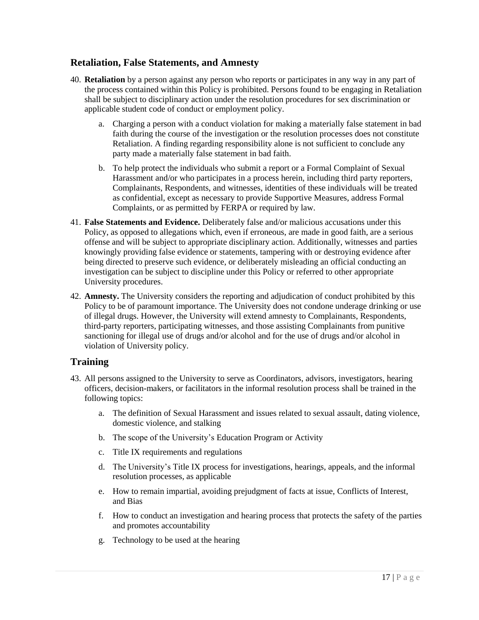# <span id="page-16-0"></span>**Retaliation, False Statements, and Amnesty**

- 40. **Retaliation** by a person against any person who reports or participates in any way in any part of the process contained within this Policy is prohibited. Persons found to be engaging in Retaliation shall be subject to disciplinary action under the resolution procedures for sex discrimination or applicable student code of conduct or employment policy.
	- a. Charging a person with a conduct violation for making a materially false statement in bad faith during the course of the investigation or the resolution processes does not constitute Retaliation. A finding regarding responsibility alone is not sufficient to conclude any party made a materially false statement in bad faith.
	- b. To help protect the individuals who submit a report or a Formal Complaint of Sexual Harassment and/or who participates in a process herein, including third party reporters, Complainants, Respondents, and witnesses, identities of these individuals will be treated as confidential, except as necessary to provide Supportive Measures, address Formal Complaints, or as permitted by FERPA or required by law.
- 41. **False Statements and Evidence.** Deliberately false and/or malicious accusations under this Policy, as opposed to allegations which, even if erroneous, are made in good faith, are a serious offense and will be subject to appropriate disciplinary action. Additionally, witnesses and parties knowingly providing false evidence or statements, tampering with or destroying evidence after being directed to preserve such evidence, or deliberately misleading an official conducting an investigation can be subject to discipline under this Policy or referred to other appropriate University procedures.
- 42. **Amnesty.** The University considers the reporting and adjudication of conduct prohibited by this Policy to be of paramount importance. The University does not condone underage drinking or use of illegal drugs. However, the University will extend amnesty to Complainants, Respondents, third-party reporters, participating witnesses, and those assisting Complainants from punitive sanctioning for illegal use of drugs and/or alcohol and for the use of drugs and/or alcohol in violation of University policy.

## <span id="page-16-1"></span>**Training**

- 43. All persons assigned to the University to serve as Coordinators, advisors, investigators, hearing officers, decision-makers, or facilitators in the informal resolution process shall be trained in the following topics:
	- a. The definition of Sexual Harassment and issues related to sexual assault, dating violence, domestic violence, and stalking
	- b. The scope of the University's Education Program or Activity
	- c. Title IX requirements and regulations
	- d. The University's Title IX process for investigations, hearings, appeals, and the informal resolution processes, as applicable
	- e. How to remain impartial, avoiding prejudgment of facts at issue, Conflicts of Interest, and Bias
	- f. How to conduct an investigation and hearing process that protects the safety of the parties and promotes accountability
	- g. Technology to be used at the hearing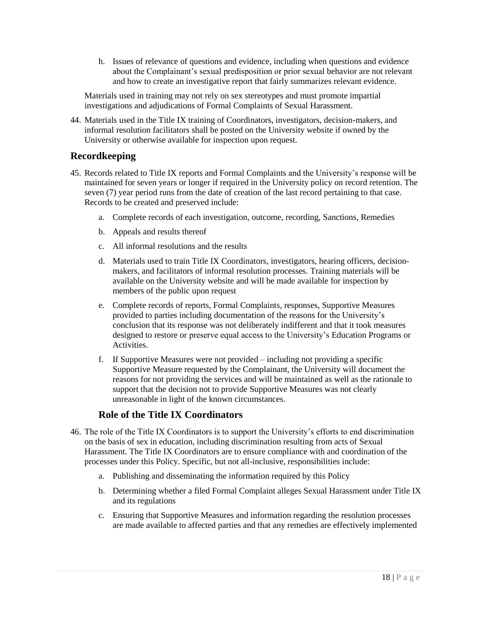h. Issues of relevance of questions and evidence, including when questions and evidence about the Complainant's sexual predisposition or prior sexual behavior are not relevant and how to create an investigative report that fairly summarizes relevant evidence.

Materials used in training may not rely on sex stereotypes and must promote impartial investigations and adjudications of Formal Complaints of Sexual Harassment.

44. Materials used in the Title IX training of Coordinators, investigators, decision-makers, and informal resolution facilitators shall be posted on the University website if owned by the University or otherwise available for inspection upon request.

# <span id="page-17-0"></span>**Recordkeeping**

- 45. Records related to Title IX reports and Formal Complaints and the University's response will be maintained for seven years or longer if required in the University policy on record retention. The seven (7) year period runs from the date of creation of the last record pertaining to that case. Records to be created and preserved include:
	- a. Complete records of each investigation, outcome, recording, Sanctions, Remedies
	- b. Appeals and results thereof
	- c. All informal resolutions and the results
	- d. Materials used to train Title IX Coordinators, investigators, hearing officers, decisionmakers, and facilitators of informal resolution processes. Training materials will be available on the University website and will be made available for inspection by members of the public upon request
	- e. Complete records of reports, Formal Complaints, responses, Supportive Measures provided to parties including documentation of the reasons for the University's conclusion that its response was not deliberately indifferent and that it took measures designed to restore or preserve equal access to the University's Education Programs or Activities.
	- f. If Supportive Measures were not provided including not providing a specific Supportive Measure requested by the Complainant, the University will document the reasons for not providing the services and will be maintained as well as the rationale to support that the decision not to provide Supportive Measures was not clearly unreasonable in light of the known circumstances.

## **Role of the Title IX Coordinators**

- <span id="page-17-1"></span>46. The role of the Title IX Coordinators is to support the University's efforts to end discrimination on the basis of sex in education, including discrimination resulting from acts of Sexual Harassment. The Title IX Coordinators are to ensure compliance with and coordination of the processes under this Policy. Specific, but not all-inclusive, responsibilities include:
	- a. Publishing and disseminating the information required by this Policy
	- b. Determining whether a filed Formal Complaint alleges Sexual Harassment under Title IX and its regulations
	- c. Ensuring that Supportive Measures and information regarding the resolution processes are made available to affected parties and that any remedies are effectively implemented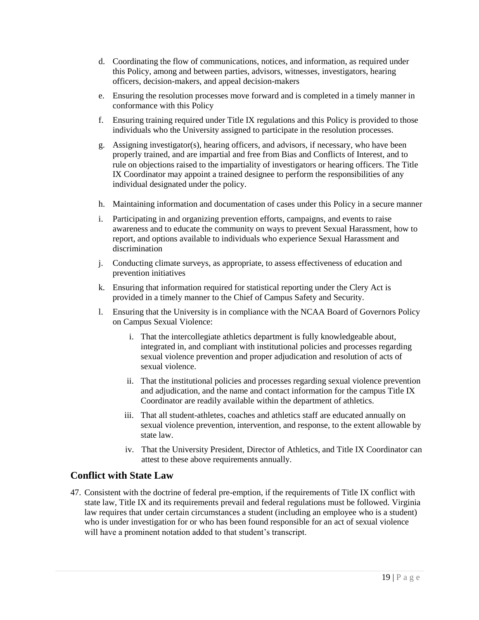- d. Coordinating the flow of communications, notices, and information, as required under this Policy, among and between parties, advisors, witnesses, investigators, hearing officers, decision-makers, and appeal decision-makers
- e. Ensuring the resolution processes move forward and is completed in a timely manner in conformance with this Policy
- f. Ensuring training required under Title IX regulations and this Policy is provided to those individuals who the University assigned to participate in the resolution processes.
- g. Assigning investigator(s), hearing officers, and advisors, if necessary, who have been properly trained, and are impartial and free from Bias and Conflicts of Interest, and to rule on objections raised to the impartiality of investigators or hearing officers. The Title IX Coordinator may appoint a trained designee to perform the responsibilities of any individual designated under the policy.
- h. Maintaining information and documentation of cases under this Policy in a secure manner
- i. Participating in and organizing prevention efforts, campaigns, and events to raise awareness and to educate the community on ways to prevent Sexual Harassment, how to report, and options available to individuals who experience Sexual Harassment and discrimination
- j. Conducting climate surveys, as appropriate, to assess effectiveness of education and prevention initiatives
- k. Ensuring that information required for statistical reporting under the Clery Act is provided in a timely manner to the Chief of Campus Safety and Security.
- l. Ensuring that the University is in compliance with the NCAA Board of Governors Policy on Campus Sexual Violence:
	- i. That the intercollegiate athletics department is fully knowledgeable about, integrated in, and compliant with institutional policies and processes regarding sexual violence prevention and proper adjudication and resolution of acts of sexual violence.
	- ii. That the institutional policies and processes regarding sexual violence prevention and adjudication, and the name and contact information for the campus Title IX Coordinator are readily available within the department of athletics.
	- iii. That all student-athletes, coaches and athletics staff are educated annually on sexual violence prevention, intervention, and response, to the extent allowable by state law.
	- iv. That the University President, Director of Athletics, and Title IX Coordinator can attest to these above requirements annually.

# <span id="page-18-0"></span>**Conflict with State Law**

47. Consistent with the doctrine of federal pre-emption, if the requirements of Title IX conflict with state law, Title IX and its requirements prevail and federal regulations must be followed. Virginia law requires that under certain circumstances a student (including an employee who is a student) who is under investigation for or who has been found responsible for an act of sexual violence will have a prominent notation added to that student's transcript.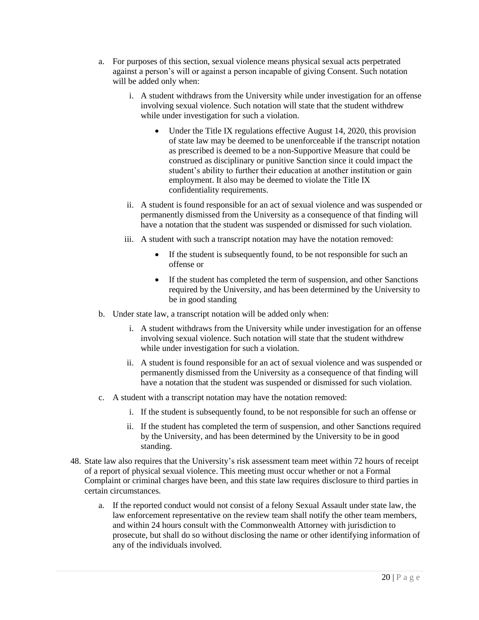- a. For purposes of this section, sexual violence means physical sexual acts perpetrated against a person's will or against a person incapable of giving Consent. Such notation will be added only when:
	- i. A student withdraws from the University while under investigation for an offense involving sexual violence. Such notation will state that the student withdrew while under investigation for such a violation.
		- Under the Title IX regulations effective August 14, 2020, this provision of state law may be deemed to be unenforceable if the transcript notation as prescribed is deemed to be a non-Supportive Measure that could be construed as disciplinary or punitive Sanction since it could impact the student's ability to further their education at another institution or gain employment. It also may be deemed to violate the Title IX confidentiality requirements.
	- ii. A student is found responsible for an act of sexual violence and was suspended or permanently dismissed from the University as a consequence of that finding will have a notation that the student was suspended or dismissed for such violation.
	- iii. A student with such a transcript notation may have the notation removed:
		- If the student is subsequently found, to be not responsible for such an offense or
		- If the student has completed the term of suspension, and other Sanctions required by the University, and has been determined by the University to be in good standing
- b. Under state law, a transcript notation will be added only when:
	- i. A student withdraws from the University while under investigation for an offense involving sexual violence. Such notation will state that the student withdrew while under investigation for such a violation.
	- ii. A student is found responsible for an act of sexual violence and was suspended or permanently dismissed from the University as a consequence of that finding will have a notation that the student was suspended or dismissed for such violation.
- c. A student with a transcript notation may have the notation removed:
	- i. If the student is subsequently found, to be not responsible for such an offense or
	- ii. If the student has completed the term of suspension, and other Sanctions required by the University, and has been determined by the University to be in good standing.
- 48. State law also requires that the University's risk assessment team meet within 72 hours of receipt of a report of physical sexual violence. This meeting must occur whether or not a Formal Complaint or criminal charges have been, and this state law requires disclosure to third parties in certain circumstances.
	- a. If the reported conduct would not consist of a felony Sexual Assault under state law, the law enforcement representative on the review team shall notify the other team members, and within 24 hours consult with the Commonwealth Attorney with jurisdiction to prosecute, but shall do so without disclosing the name or other identifying information of any of the individuals involved.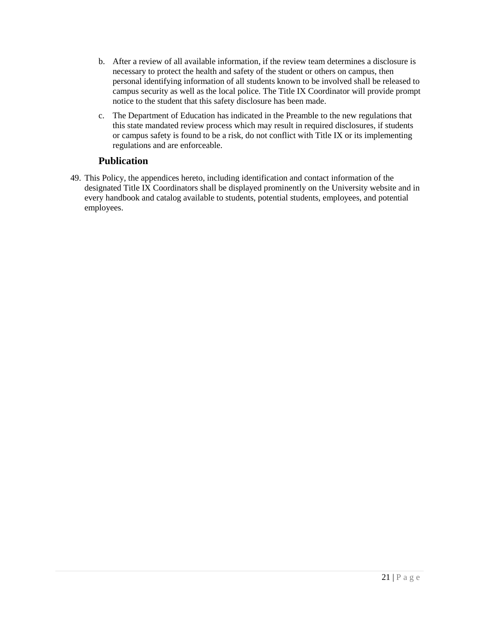- b. After a review of all available information, if the review team determines a disclosure is necessary to protect the health and safety of the student or others on campus, then personal identifying information of all students known to be involved shall be released to campus security as well as the local police. The Title IX Coordinator will provide prompt notice to the student that this safety disclosure has been made.
- c. The Department of Education has indicated in the Preamble to the new regulations that this state mandated review process which may result in required disclosures, if students or campus safety is found to be a risk, do not conflict with Title IX or its implementing regulations and are enforceable.

# **Publication**

<span id="page-20-0"></span>49. This Policy, the appendices hereto, including identification and contact information of the designated Title IX Coordinators shall be displayed prominently on the University website and in every handbook and catalog available to students, potential students, employees, and potential employees.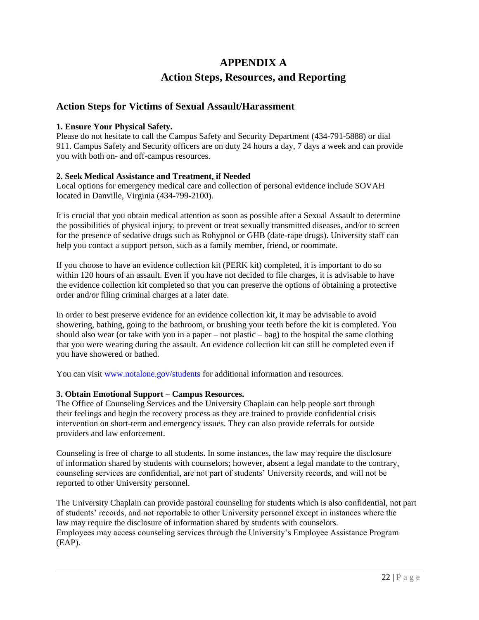# **APPENDIX A**

# **Action Steps, Resources, and Reporting**

## <span id="page-21-0"></span>**Action Steps for Victims of Sexual Assault/Harassment**

#### **1. Ensure Your Physical Safety.**

Please do not hesitate to call the Campus Safety and Security Department (434-791-5888) or dial 911. Campus Safety and Security officers are on duty 24 hours a day, 7 days a week and can provide you with both on- and off-campus resources.

#### **2. Seek Medical Assistance and Treatment, if Needed**

Local options for emergency medical care and collection of personal evidence include SOVAH located in Danville, Virginia (434-799-2100).

It is crucial that you obtain medical attention as soon as possible after a Sexual Assault to determine the possibilities of physical injury, to prevent or treat sexually transmitted diseases, and/or to screen for the presence of sedative drugs such as Rohypnol or GHB (date-rape drugs). University staff can help you contact a support person, such as a family member, friend, or roommate.

If you choose to have an evidence collection kit (PERK kit) completed, it is important to do so within 120 hours of an assault. Even if you have not decided to file charges, it is advisable to have the evidence collection kit completed so that you can preserve the options of obtaining a protective order and/or filing criminal charges at a later date.

In order to best preserve evidence for an evidence collection kit, it may be advisable to avoid showering, bathing, going to the bathroom, or brushing your teeth before the kit is completed. You should also wear (or take with you in a paper – not plastic – bag) to the hospital the same clothing that you were wearing during the assault. An evidence collection kit can still be completed even if you have showered or bathed.

You can visit www.notalone.gov/students for additional information and resources.

#### **3. Obtain Emotional Support – Campus Resources.**

The Office of Counseling Services and the University Chaplain can help people sort through their feelings and begin the recovery process as they are trained to provide confidential crisis intervention on short-term and emergency issues. They can also provide referrals for outside providers and law enforcement.

Counseling is free of charge to all students. In some instances, the law may require the disclosure of information shared by students with counselors; however, absent a legal mandate to the contrary, counseling services are confidential, are not part of students' University records, and will not be reported to other University personnel.

The University Chaplain can provide pastoral counseling for students which is also confidential, not part of students' records, and not reportable to other University personnel except in instances where the law may require the disclosure of information shared by students with counselors. Employees may access counseling services through the University's Employee Assistance Program (EAP).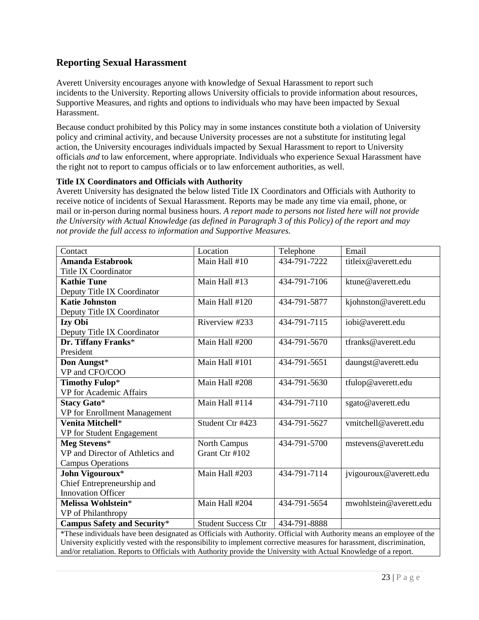# **Reporting Sexual Harassment**

Averett University encourages anyone with knowledge of Sexual Harassment to report such incidents to the University. Reporting allows University officials to provide information about resources, Supportive Measures, and rights and options to individuals who may have been impacted by Sexual Harassment.

Because conduct prohibited by this Policy may in some instances constitute both a violation of University policy and criminal activity, and because University processes are not a substitute for instituting legal action, the University encourages individuals impacted by Sexual Harassment to report to University officials *and* to law enforcement, where appropriate. Individuals who experience Sexual Harassment have the right not to report to campus officials or to law enforcement authorities, as well.

#### **Title IX Coordinators and Officials with Authority**

Averett University has designated the below listed Title IX Coordinators and Officials with Authority to receive notice of incidents of Sexual Harassment. Reports may be made any time via email, phone, or mail or in-person during normal business hours. *A report made to persons not listed here will not provide the University with Actual Knowledge (as defined in Paragraph 3 of this Policy) of the report and may not provide the full access to information and Supportive Measures.*

| Contact                                                                                                               | Location                   | Telephone    | Email                  |
|-----------------------------------------------------------------------------------------------------------------------|----------------------------|--------------|------------------------|
| <b>Amanda Estabrook</b>                                                                                               | Main Hall #10              | 434-791-7222 | titleix@averett.edu    |
| Title IX Coordinator                                                                                                  |                            |              |                        |
| <b>Kathie Tune</b>                                                                                                    | Main Hall #13              | 434-791-7106 | ktune@averett.edu      |
| Deputy Title IX Coordinator                                                                                           |                            |              |                        |
| <b>Katie Johnston</b>                                                                                                 | Main Hall #120             | 434-791-5877 | kjohnston@averett.edu  |
| Deputy Title IX Coordinator                                                                                           |                            |              |                        |
| Izy Obi                                                                                                               | Riverview #233             | 434-791-7115 | iobi@averett.edu       |
| Deputy Title IX Coordinator                                                                                           |                            |              |                        |
| Dr. Tiffany Franks*                                                                                                   | Main Hall #200             | 434-791-5670 | tfranks@averett.edu    |
| President                                                                                                             |                            |              |                        |
| Don Aungst*                                                                                                           | Main Hall #101             | 434-791-5651 | daungst@averett.edu    |
| VP and CFO/COO                                                                                                        |                            |              |                        |
| <b>Timothy Fulop*</b>                                                                                                 | Main Hall #208             | 434-791-5630 | tfulop@averett.edu     |
| VP for Academic Affairs                                                                                               |                            |              |                        |
| <b>Stacy Gato*</b>                                                                                                    | Main Hall #114             | 434-791-7110 | sgato@averett.edu      |
| VP for Enrollment Management                                                                                          |                            |              |                        |
| Venita Mitchell*                                                                                                      | Student Ctr #423           | 434-791-5627 | vmitchell@averett.edu  |
| VP for Student Engagement                                                                                             |                            |              |                        |
| Meg Stevens*                                                                                                          | North Campus               | 434-791-5700 | mstevens@averett.edu   |
| VP and Director of Athletics and                                                                                      | Grant Ctr #102             |              |                        |
| <b>Campus Operations</b>                                                                                              |                            |              |                        |
| John Vigouroux*                                                                                                       | Main Hall #203             | 434-791-7114 | jvigouroux@averett.edu |
| Chief Entrepreneurship and                                                                                            |                            |              |                        |
| <b>Innovation Officer</b>                                                                                             |                            |              |                        |
| Melissa Wohlstein*                                                                                                    | Main Hall #204             | 434-791-5654 | mwohlstein@averett.edu |
| VP of Philanthropy                                                                                                    |                            |              |                        |
| <b>Campus Safety and Security*</b>                                                                                    | <b>Student Success Ctr</b> | 434-791-8888 |                        |
| *These individuals have been designated as Officials with Authority. Official with Authority means an employee of the |                            |              |                        |
| University explicitly vested with the responsibility to implement corrective measures for harassment, discrimination, |                            |              |                        |
| and/or retaliation. Reports to Officials with Authority provide the University with Actual Knowledge of a report.     |                            |              |                        |